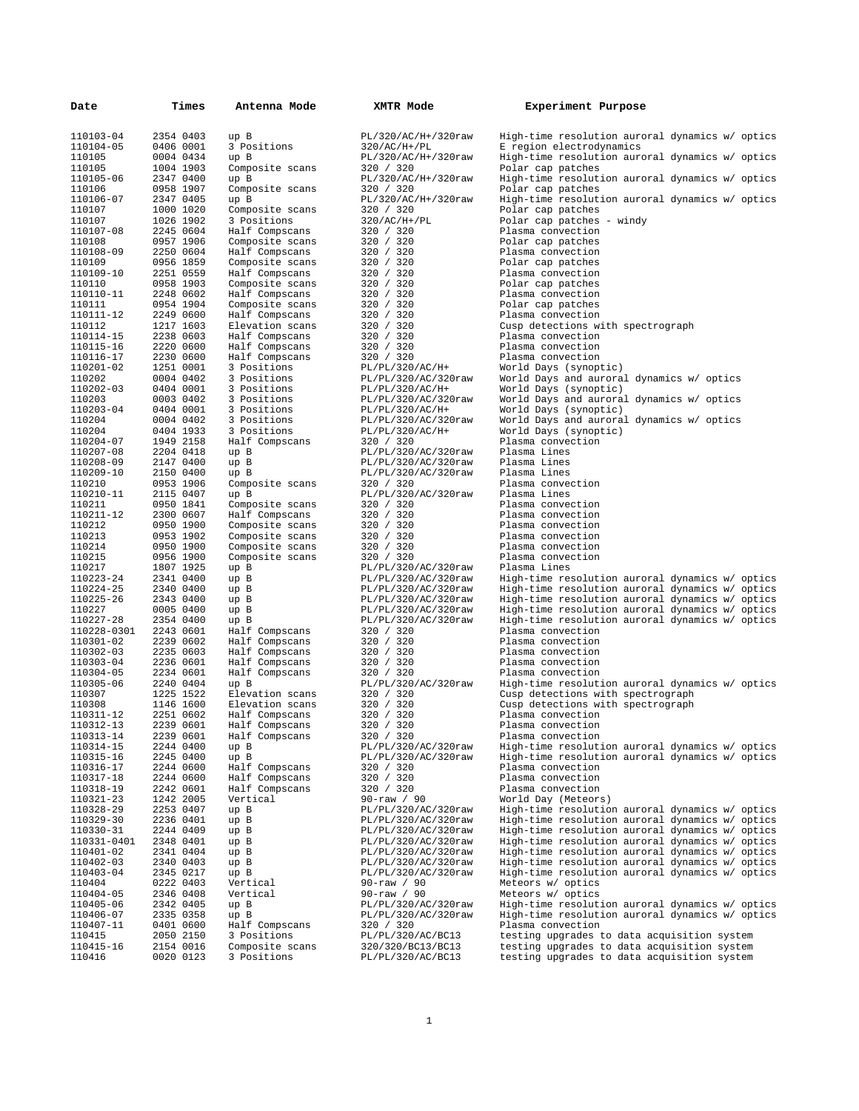| Date                     | Times                  | Antenna Mode                       | XMTR Mode                                  | Experiment Purpose                                                                                 |
|--------------------------|------------------------|------------------------------------|--------------------------------------------|----------------------------------------------------------------------------------------------------|
| 110103-04                | 2354 0403              | up B                               | PL/320/AC/H+/320raw                        | High-time resolution auroral dynamics w/ optics                                                    |
| 110104-05                | 0406 0001              | 3 Positions                        | $320/AC/H+$ /PL                            | E region electrodynamics                                                                           |
| 110105<br>110105         | 0004 0434<br>1004 1903 | up B                               | PL/320/AC/H+/320raw<br>320 / 320           | High-time resolution auroral dynamics w/ optics<br>Polar cap patches                               |
| 110105-06                | 2347 0400              | Composite scans<br>up B            | PL/320/AC/H+/320raw                        | High-time resolution auroral dynamics w/ optics                                                    |
| 110106                   | 0958 1907              | Composite scans                    | 320 / 320                                  | Polar cap patches                                                                                  |
| 110106-07                | 2347 0405              | up B                               | PL/320/AC/H+/320raw                        | High-time resolution auroral dynamics w/ optics                                                    |
| 110107<br>110107         | 1000 1020<br>1026 1902 | Composite scans<br>3 Positions     | 320 / 320<br>$320/AC/H+$ /PL               | Polar cap patches<br>Polar cap patches - windy                                                     |
| 110107-08                | 2245 0604              | Half Compscans                     | 320 / 320                                  | Plasma convection                                                                                  |
| 110108                   | 0957 1906              | Composite scans                    | 320 / 320                                  | Polar cap patches                                                                                  |
| 110108-09                | 2250 0604              | Half Compscans                     | 320 / 320                                  | Plasma convection                                                                                  |
| 110109<br>110109-10      | 0956 1859<br>2251 0559 | Composite scans<br>Half Compscans  | 320 / 320<br>320 / 320                     | Polar cap patches<br>Plasma convection                                                             |
| 110110                   | 0958 1903              | Composite scans                    | 320 / 320                                  | Polar cap patches                                                                                  |
| 110110-11                | 2248 0602              | Half Compscans                     | 320 / 320                                  | Plasma convection                                                                                  |
| 110111<br>110111-12      | 0954 1904<br>2249 0600 | Composite scans<br>Half Compscans  | 320 / 320<br>320 / 320                     | Polar cap patches<br>Plasma convection                                                             |
| 110112                   | 1217 1603              | Elevation scans                    | 320 / 320                                  | Cusp detections with spectrograph                                                                  |
| 110114-15                | 2238 0603              | Half Compscans                     | 320 / 320                                  | Plasma convection                                                                                  |
| 110115-16                | 2220 0600              | Half Compscans                     | 320 / 320                                  | Plasma convection                                                                                  |
| 110116-17<br>110201-02   | 2230 0600<br>1251 0001 | Half Compscans<br>3 Positions      | 320 / 320<br>PL/PL/320/AC/H+               | Plasma convection<br>World Days (synoptic)                                                         |
| 110202                   | 0004 0402              | 3 Positions                        | PL/PL/320/AC/320raw                        | World Days and auroral dynamics w/ optics                                                          |
| 110202-03                | 0404 0001              | 3 Positions                        | PL/PL/320/AC/H+                            | World Days (synoptic)                                                                              |
| 110203                   | 0003 0402              | 3 Positions                        | PL/PL/320/AC/320raw                        | World Days and auroral dynamics w/ optics                                                          |
| 110203-04<br>110204      | 0404 0001<br>0004 0402 | 3 Positions<br>3 Positions         | PL/PL/320/AC/H+<br>PL/PL/320/AC/320raw     | World Days (synoptic)<br>World Days and auroral dynamics w/ optics                                 |
| 110204                   | 0404 1933              | 3 Positions                        | PL/PL/320/AC/H+                            | World Days (synoptic)                                                                              |
| 110204-07                | 1949 2158              | Half Compscans                     | 320 / 320                                  | Plasma convection                                                                                  |
| 110207-08                | 2204 0418              | up B                               | PL/PL/320/AC/320raw                        | Plasma Lines                                                                                       |
| 110208-09<br>110209-10   | 2147 0400<br>2150 0400 | up B<br>up B                       | PL/PL/320/AC/320raw<br>PL/PL/320/AC/320raw | Plasma Lines<br>Plasma Lines                                                                       |
| 110210                   | 0953 1906              | Composite scans                    | 320 / 320                                  | Plasma convection                                                                                  |
| 110210-11                | 2115 0407              | up B                               | PL/PL/320/AC/320raw                        | Plasma Lines                                                                                       |
| 110211<br>110211-12      | 0950 1841<br>2300 0607 | Composite scans<br>Half Compscans  | 320 / 320<br>320 / 320                     | Plasma convection<br>Plasma convection                                                             |
| 110212                   | 0950 1900              | Composite scans                    | 320 / 320                                  | Plasma convection                                                                                  |
| 110213                   | 0953 1902              | Composite scans                    | 320 / 320                                  | Plasma convection                                                                                  |
| 110214                   | 0950 1900              | Composite scans                    | 320 / 320                                  | Plasma convection                                                                                  |
| 110215<br>110217         | 0956 1900<br>1807 1925 | Composite scans<br>up B            | 320 / 320<br>PL/PL/320/AC/320raw           | Plasma convection<br>Plasma Lines                                                                  |
| 110223-24                | 2341 0400              | up B                               | PL/PL/320/AC/320raw                        | High-time resolution auroral dynamics w/ optics                                                    |
| 110224-25                | 2340 0400              | up B                               | PL/PL/320/AC/320raw                        | High-time resolution auroral dynamics w/ optics                                                    |
| 110225-26<br>110227      | 2343 0400<br>0005 0400 | up B<br>up B                       | PL/PL/320/AC/320raw<br>PL/PL/320/AC/320raw | High-time resolution auroral dynamics w/ optics<br>High-time resolution auroral dynamics w/ optics |
| 110227-28                | 2354 0400              | up B                               | PL/PL/320/AC/320raw                        | High-time resolution auroral dynamics w/ optics                                                    |
| 110228-0301              | 2243 0601              | Half Compscans                     | 320 / 320                                  | Plasma convection                                                                                  |
| 110301-02<br>110302-03   | 2239 0602<br>2235 0603 | Half Compscans                     | 320 / 320<br>320 / 320                     | Plasma convection                                                                                  |
| 110303-04                | 2236 0601              | Half Compscans<br>Half Compscans   | 320 / 320                                  | Plasma convection<br>Plasma convection                                                             |
| 110304-05                | 2234 0601              | Half Compscans                     | 320 / 320                                  | Plasma convection                                                                                  |
| 110305-06                | 2240 0404              | up B                               | PL/PL/320/AC/320raw                        | High-time resolution auroral dynamics w/ optics                                                    |
| 110307<br>110308         | 1225 1522<br>1146 1600 | Elevation scans<br>Elevation scans | 320 / 320<br>320 / 320                     | Cusp detections with spectrograph<br>Cusp detections with spectrograph                             |
| 110311-12                | 2251 0602              | Half Compscans                     | 320 / 320                                  | Plasma convection                                                                                  |
| 110312-13                | 2239 0601              | Half Compscans                     | 320 / 320                                  | Plasma convection                                                                                  |
| 110313-14<br>110314-15   | 2239 0601<br>2244 0400 | Half Compscans<br>up B             | 320 / 320<br>PL/PL/320/AC/320raw           | Plasma convection<br>High-time resolution auroral dynamics w/ optics                               |
| 110315-16                | 2245 0400              | up B                               | PL/PL/320/AC/320raw                        | High-time resolution auroral dynamics w/ optics                                                    |
| 110316-17                | 2244 0600              | Half Compscans                     | 320 / 320                                  | Plasma convection                                                                                  |
| 110317-18                | 2244 0600              | Half Compscans                     | 320 / 320                                  | Plasma convection                                                                                  |
| 110318-19<br>110321-23   | 2242 0601<br>1242 2005 | Half Compscans<br>Vertical         | 320 / 320<br>$90 - raw / 90$               | Plasma convection<br>World Day (Meteors)                                                           |
| 110328-29                | 2253 0407              | up B                               | PL/PL/320/AC/320raw                        | High-time resolution auroral dynamics w/ optics                                                    |
| 110329-30                | 2236 0401              | up B                               | PL/PL/320/AC/320raw                        | High-time resolution auroral dynamics w/ optics                                                    |
| 110330-31<br>110331-0401 | 2244 0409<br>2348 0401 | up B<br>up B                       | PL/PL/320/AC/320raw<br>PL/PL/320/AC/320raw | High-time resolution auroral dynamics w/ optics<br>High-time resolution auroral dynamics w/ optics |
| 110401-02                | 2341 0404              | up B                               | PL/PL/320/AC/320raw                        | High-time resolution auroral dynamics w/ optics                                                    |
| 110402-03                | 2340 0403              | up B                               | PL/PL/320/AC/320raw                        | High-time resolution auroral dynamics w/ optics                                                    |
| 110403-04                | 2345 0217              | up B                               | PL/PL/320/AC/320raw                        | High-time resolution auroral dynamics w/ optics                                                    |
| 110404<br>110404-05      | 0222 0403<br>2346 0408 | Vertical<br>Vertical               | $90 - raw / 90$<br>$90 - raw / 90$         | Meteors w/ optics<br>Meteors w/ optics                                                             |
| 110405-06                | 2342 0405              | up B                               | PL/PL/320/AC/320raw                        | High-time resolution auroral dynamics w/ optics                                                    |
| 110406-07                | 2335 0358              | up B                               | PL/PL/320/AC/320raw                        | High-time resolution auroral dynamics w/ optics                                                    |
| 110407-11<br>110415      | 0401 0600<br>2050 2150 | Half Compscans<br>3 Positions      | 320 / 320<br>PL/PL/320/AC/BC13             | Plasma convection<br>testing upgrades to data acquisition system                                   |
| 110415-16                | 2154 0016              | Composite scans                    | 320/320/BC13/BC13                          | testing upgrades to data acquisition system                                                        |
| 110416                   | 0020 0123              | 3 Positions                        | PL/PL/320/AC/BC13                          | testing upgrades to data acquisition system                                                        |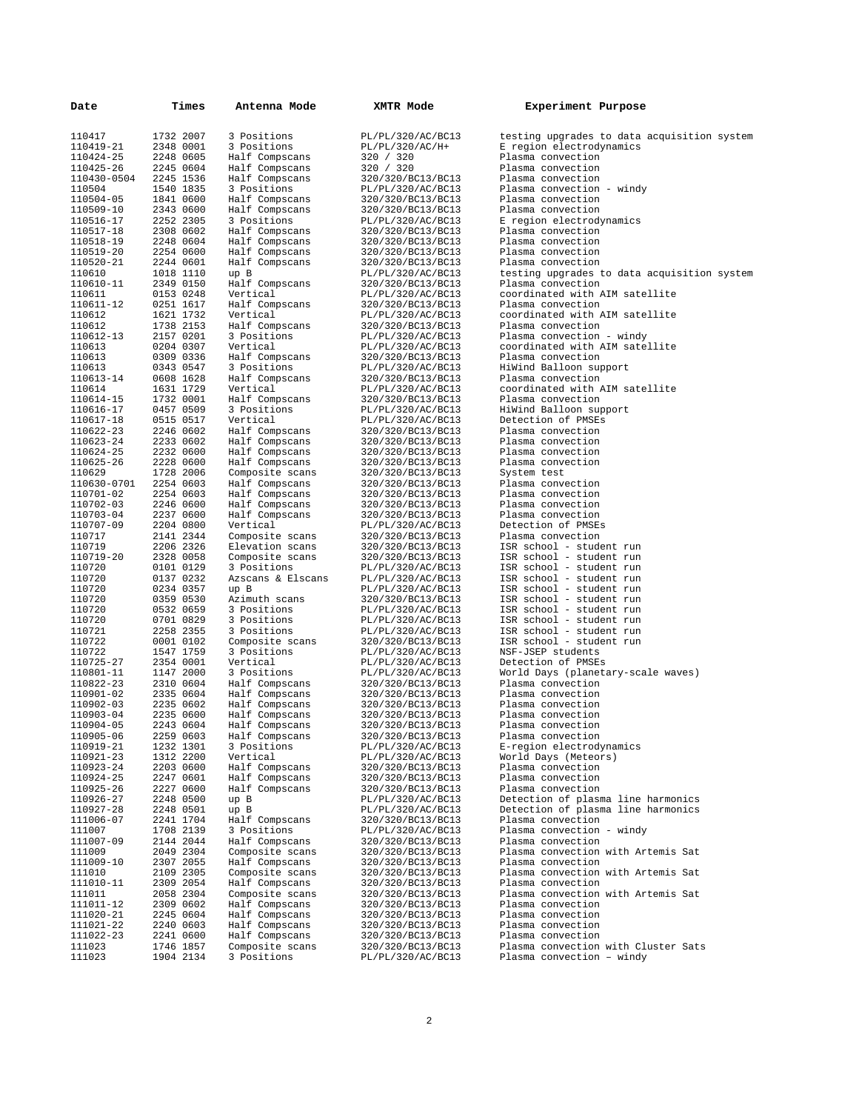| Date                   |                        | Times | Antenna Mode                     | XMTR Mode                              | Experiment Purpose                                   |
|------------------------|------------------------|-------|----------------------------------|----------------------------------------|------------------------------------------------------|
| 110417                 | 1732 2007              |       | 3 Positions                      | PL/PL/320/AC/BC13                      | testing upgrades to data acquisition system          |
| 110419-21              | 2348 0001              |       | 3 Positions                      | PL/PL/320/AC/H+                        | E region electrodynamics                             |
| 110424-25              | 2248 0605              |       | Half Compscans                   | 320 / 320                              | Plasma convection                                    |
| 110425-26              | 2245 0604              |       | Half Compscans                   | 320 / 320                              | Plasma convection                                    |
| 110430-0504            | 2245 1536              |       | Half Compscans                   | 320/320/BC13/BC13                      | Plasma convection                                    |
| 110504                 | 1540 1835              |       | 3 Positions                      | PL/PL/320/AC/BC13                      | Plasma convection - windy                            |
| 110504-05              | 1841 0600              |       | Half Compscans                   | 320/320/BC13/BC13                      | Plasma convection                                    |
| 110509-10              | 2343 0600              |       | Half Compscans                   | 320/320/BC13/BC13                      | Plasma convection                                    |
| 110516-17              | 2252 2305              |       | 3 Positions                      | PL/PL/320/AC/BC13                      | E region electrodynamics                             |
| 110517-18              | 2308 0602              |       | Half Compscans                   | 320/320/BC13/BC13                      | Plasma convection                                    |
| 110518-19              | 2248 0604              |       | Half Compscans                   | 320/320/BC13/BC13                      | Plasma convection                                    |
| 110519-20              | 2254 0600              |       | Half Compscans                   | 320/320/BC13/BC13                      | Plasma convection                                    |
| 110520-21              | 2244 0601              |       | Half Compscans                   | 320/320/BC13/BC13                      | Plasma convection                                    |
| 110610                 | 1018 1110              |       | up B                             | PL/PL/320/AC/BC13                      | testing upgrades to data acquisition system          |
| 110610-11              | 2349 0150<br>0153 0248 |       | Half Compscans                   | 320/320/BC13/BC13<br>PL/PL/320/AC/BC13 | Plasma convection<br>coordinated with AIM satellite  |
| 110611<br>110611-12    | 0251 1617              |       | Vertical                         | 320/320/BC13/BC13                      | Plasma convection                                    |
| 110612                 | 1621 1732              |       | Half Compscans<br>Vertical       | PL/PL/320/AC/BC13                      | coordinated with AIM satellite                       |
| 110612                 | 1738 2153              |       | Half Compscans                   | 320/320/BC13/BC13                      | Plasma convection                                    |
| 110612-13              | 2157 0201              |       | 3 Positions                      | PL/PL/320/AC/BC13                      | Plasma convection - windy                            |
| 110613                 | 0204 0307              |       | Vertical                         | PL/PL/320/AC/BC13                      | coordinated with AIM satellite                       |
| 110613                 | 0309 0336              |       | Half Compscans                   | 320/320/BC13/BC13                      | Plasma convection                                    |
| 110613                 | 0343 0547              |       | 3 Positions                      | PL/PL/320/AC/BC13                      | HiWind Balloon support                               |
| 110613-14              | 0608 1628              |       | Half Compscans                   | 320/320/BC13/BC13                      | Plasma convection                                    |
| 110614                 | 1631 1729              |       | Vertical                         | PL/PL/320/AC/BC13                      | coordinated with AIM satellite                       |
| 110614-15              | 1732 0001              |       | Half Compscans                   | 320/320/BC13/BC13                      | Plasma convection                                    |
| 110616-17              | 0457 0509              |       | 3 Positions                      | PL/PL/320/AC/BC13                      | HiWind Balloon support                               |
| 110617-18              | 0515 0517              |       | Vertical                         | PL/PL/320/AC/BC13                      | Detection of PMSEs                                   |
| 110622-23              | 2246 0602              |       | Half Compscans                   | 320/320/BC13/BC13                      | Plasma convection                                    |
| 110623-24              | 2233 0602              |       | Half Compscans                   | 320/320/BC13/BC13                      | Plasma convection                                    |
| 110624-25              | 2232 0600              |       | Half Compscans                   | 320/320/BC13/BC13                      | Plasma convection                                    |
| 110625-26              | 2228 0600              |       | Half Compscans                   | 320/320/BC13/BC13                      | Plasma convection                                    |
| 110629                 | 1728 2006              |       | Composite scans                  | 320/320/BC13/BC13                      | System test                                          |
| 110630-0701            | 2254 0603              |       | Half Compscans                   | 320/320/BC13/BC13                      | Plasma convection                                    |
| 110701-02<br>110702-03 | 2254 0603<br>2246 0600 |       | Half Compscans<br>Half Compscans | 320/320/BC13/BC13<br>320/320/BC13/BC13 | Plasma convection<br>Plasma convection               |
| 110703-04              | 2237 0600              |       | Half Compscans                   | 320/320/BC13/BC13                      | Plasma convection                                    |
| 110707-09              | 2204 0800              |       | Vertical                         | PL/PL/320/AC/BC13                      | Detection of PMSEs                                   |
| 110717                 | 2141 2344              |       | Composite scans                  | 320/320/BC13/BC13                      | Plasma convection                                    |
| 110719                 | 2206 2326              |       | Elevation scans                  | 320/320/BC13/BC13                      | ISR school - student run                             |
| 110719-20              | 2328 0058              |       | Composite scans                  | 320/320/BC13/BC13                      | ISR school - student run                             |
| 110720                 | 0101 0129              |       | 3 Positions                      | PL/PL/320/AC/BC13                      | ISR school - student run                             |
| 110720                 | 0137 0232              |       | Azscans & Elscans                | PL/PL/320/AC/BC13                      | ISR school - student run                             |
| 110720                 | 0234 0357              |       | up B                             | PL/PL/320/AC/BC13                      | ISR school - student run                             |
| 110720                 | 0359 0530              |       | Azimuth scans                    | 320/320/BC13/BC13                      | ISR school - student run                             |
| 110720                 | 0532 0659              |       | 3 Positions                      | PL/PL/320/AC/BC13                      | ISR school - student run                             |
| 110720<br>110721       | 0701 0829<br>2258 2355 |       | 3 Positions<br>3 Positions       | PL/PL/320/AC/BC13                      | ISR school - student run<br>ISR school - student run |
| 110722                 | 0001 0102              |       | Composite scans                  | PL/PL/320/AC/BC13<br>320/320/BC13/BC13 | ISR school - student run                             |
| 110722                 | 1547 1759              |       | 3 Positions                      | PL/PL/320/AC/BC13                      | NSF-JSEP students                                    |
| 110725-27              | 2354 0001              |       | Vertical                         | PL/PL/320/AC/BC13                      | Detection of PMSEs                                   |
| 110801-11              | 1147 2000              |       | 3 Positions                      | PL/PL/320/AC/BC13                      | World Days (planetary-scale waves)                   |
| 110822-23              | 2310 0604              |       | Half Compscans                   | 320/320/BC13/BC13                      | Plasma convection                                    |
| 110901-02              | 2335 0604              |       | Half Compscans                   | 320/320/BC13/BC13                      | Plasma convection                                    |
| 110902-03              | 2235 0602              |       | Half Compscans                   | 320/320/BC13/BC13                      | Plasma convection                                    |
| 110903-04              | 2235 0600              |       | Half Compscans                   | 320/320/BC13/BC13                      | Plasma convection                                    |
| 110904-05              | 2243 0604              |       | Half Compscans                   | 320/320/BC13/BC13                      | Plasma convection                                    |
| 110905-06              | 2259 0603              |       | Half Compscans                   | 320/320/BC13/BC13                      | Plasma convection                                    |
| 110919-21              | 1232 1301              |       | 3 Positions                      | PL/PL/320/AC/BC13                      | E-region electrodynamics                             |
| 110921-23              | 1312 2200              |       | Vertical                         | PL/PL/320/AC/BC13                      | World Days (Meteors)                                 |
| 110923-24              | 2203 0600              |       | Half Compscans                   | 320/320/BC13/BC13<br>320/320/BC13/BC13 | Plasma convection                                    |
| 110924-25<br>110925-26 | 2247 0601<br>2227 0600 |       | Half Compscans<br>Half Compscans | 320/320/BC13/BC13                      | Plasma convection<br>Plasma convection               |
| 110926-27              | 2248 0500              |       | up B                             | PL/PL/320/AC/BC13                      | Detection of plasma line harmonics                   |
| 110927-28              | 2248 0501              |       | up B                             | PL/PL/320/AC/BC13                      | Detection of plasma line harmonics                   |
| 111006-07              | 2241 1704              |       | Half Compscans                   | 320/320/BC13/BC13                      | Plasma convection                                    |
| 111007                 | 1708 2139              |       | 3 Positions                      | PL/PL/320/AC/BC13                      | Plasma convection - windy                            |
| 111007-09              | 2144 2044              |       | Half Compscans                   | 320/320/BC13/BC13                      | Plasma convection                                    |
| 111009                 | 2049 2304              |       | Composite scans                  | 320/320/BC13/BC13                      | Plasma convection with Artemis Sat                   |
| 111009-10              | 2307 2055              |       | Half Compscans                   | 320/320/BC13/BC13                      | Plasma convection                                    |
| 111010                 | 2109 2305              |       | Composite scans                  | 320/320/BC13/BC13                      | Plasma convection with Artemis Sat                   |
| 111010-11              | 2309 2054              |       | Half Compscans                   | 320/320/BC13/BC13                      | Plasma convection                                    |
| 111011                 | 2058 2304              |       | Composite scans                  | 320/320/BC13/BC13                      | Plasma convection with Artemis Sat                   |
| 111011-12              | 2309 0602<br>2245 0604 |       | Half Compscans                   | 320/320/BC13/BC13                      | Plasma convection                                    |
| 111020-21<br>111021-22 | 2240 0603              |       | Half Compscans<br>Half Compscans | 320/320/BC13/BC13<br>320/320/BC13/BC13 | Plasma convection<br>Plasma convection               |
| 111022-23              | 2241 0600              |       | Half Compscans                   | 320/320/BC13/BC13                      | Plasma convection                                    |
| 111023                 | 1746 1857              |       | Composite scans                  | 320/320/BC13/BC13                      | Plasma convection with Cluster Sats                  |
| 111023                 | 1904 2134              |       | 3 Positions                      | PL/PL/320/AC/BC13                      | Plasma convection - windy                            |